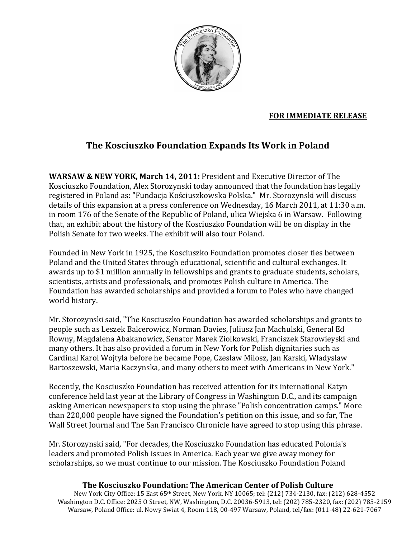

# **FOR IMMEDIATE RELEASE**

# **The Kosciuszko Foundation Expands Its Work in Poland**

**WARSAW & NEW YORK, March 14, 2011: President and Executive Director of The** Kosciuszko Foundation, Alex Storozynski today announced that the foundation has legally registered in Poland as: "Fundacja Kościuszkowska Polska." Mr. Storozynski will discuss details of this expansion at a press conference on Wednesday, 16 March 2011, at 11:30 a.m. in room 176 of the Senate of the Republic of Poland, ulica Wiejska 6 in Warsaw. Following that, an exhibit about the history of the Kosciuszko Foundation will be on display in the Polish Senate for two weeks. The exhibit will also tour Poland.

Founded in New York in 1925, the Kosciuszko Foundation promotes closer ties between Poland and the United States through educational, scientific and cultural exchanges. It awards up to \$1 million annually in fellowships and grants to graduate students, scholars, scientists, artists and professionals, and promotes Polish culture in America. The Foundation has awarded scholarships and provided a forum to Poles who have changed world history.

Mr. Storozynski said, "The Kosciuszko Foundation has awarded scholarships and grants to people such as Leszek Balcerowicz, Norman Davies, Juliusz Jan Machulski, General Ed Rowny, Magdalena Abakanowicz, Senator Marek Ziolkowski, Franciszek Starowieyski and many others. It has also provided a forum in New York for Polish dignitaries such as Cardinal Karol Wojtyla before he became Pope, Czeslaw Milosz, Jan Karski, Wladyslaw Bartoszewski, Maria Kaczynska, and many others to meet with Americans in New York."

Recently, the Kosciuszko Foundation has received attention for its international Katyn conference held last year at the Library of Congress in Washington D.C., and its campaign asking American newspapers to stop using the phrase "Polish concentration camps." More than 220,000 people have signed the Foundation's petition on this issue, and so far, The Wall Street Journal and The San Francisco Chronicle have agreed to stop using this phrase.

Mr. Storozynski said, "For decades, the Kosciuszko Foundation has educated Polonia's leaders and promoted Polish issues in America. Each year we give away money for scholarships, so we must continue to our mission. The Kosciuszko Foundation Poland

# **The Kosciuszko Foundation: The American Center of Polish Culture**

New York City Office: 15 East 65th Street, New York, NY 10065; tel: (212) 734-2130, fax: (212) 628-4552 Washington D.C. Office: 2025 O Street, NW, Washington, D.C. 20036-5913, tel: (202) 785-2320, fax: (202) 785-2159 Warsaw, Poland Office: ul. Nowy Swiat 4, Room 118, 00-497 Warsaw, Poland, tel/fax: (011-48) 22-621-7067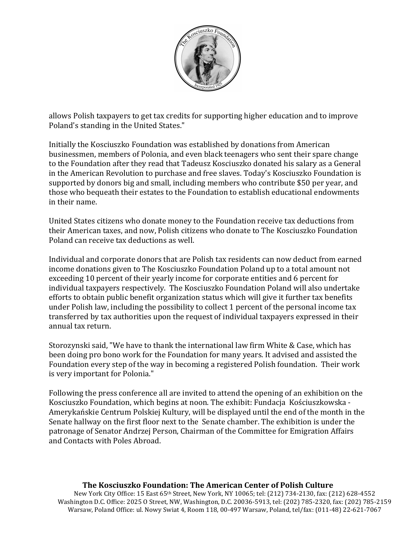

allows Polish taxpayers to get tax credits for supporting higher education and to improve Poland's standing in the United States."

Initially the Kosciuszko Foundation was established by donations from American businessmen, members of Polonia, and even black teenagers who sent their spare change to the Foundation after they read that Tadeusz Kosciuszko donated his salary as a General in the American Revolution to purchase and free slaves. Today's Kosciuszko Foundation is supported by donors big and small, including members who contribute \$50 per year, and those who bequeath their estates to the Foundation to establish educational endowments in their name.

United States citizens who donate money to the Foundation receive tax deductions from their American taxes, and now, Polish citizens who donate to The Kosciuszko Foundation Poland can receive tax deductions as well.

Individual and corporate donors that are Polish tax residents can now deduct from earned income donations given to The Kosciuszko Foundation Poland up to a total amount not exceeding 10 percent of their yearly income for corporate entities and 6 percent for individual taxpayers respectively. The Kosciuszko Foundation Poland will also undertake efforts to obtain public benefit organization status which will give it further tax benefits under Polish law, including the possibility to collect 1 percent of the personal income tax transferred by tax authorities upon the request of individual taxpayers expressed in their annual tax return.

Storozynski said, "We have to thank the international law firm White & Case, which has been doing pro bono work for the Foundation for many years. It advised and assisted the Foundation every step of the way in becoming a registered Polish foundation. Their work is very important for Polonia."

Following the press conference all are invited to attend the opening of an exhibition on the Kosciuszko Foundation, which begins at noon. The exhibit: Fundacja Kościuszkowska -Amerykańskie Centrum Polskiej Kultury, will be displayed until the end of the month in the Senate hallway on the first floor next to the Senate chamber. The exhibition is under the patronage of Senator Andrzej Person, Chairman of the Committee for Emigration Affairs and Contacts with Poles Abroad.

### **The Kosciuszko Foundation: The American Center of Polish Culture**

New York City Office: 15 East 65th Street, New York, NY 10065; tel: (212) 734-2130, fax: (212) 628-4552 Washington D.C. Office: 2025 O Street, NW, Washington, D.C. 20036-5913, tel: (202) 785-2320, fax: (202) 785-2159 Warsaw, Poland Office: ul. Nowy Swiat 4, Room 118, 00-497 Warsaw, Poland, tel/fax: (011-48) 22-621-7067